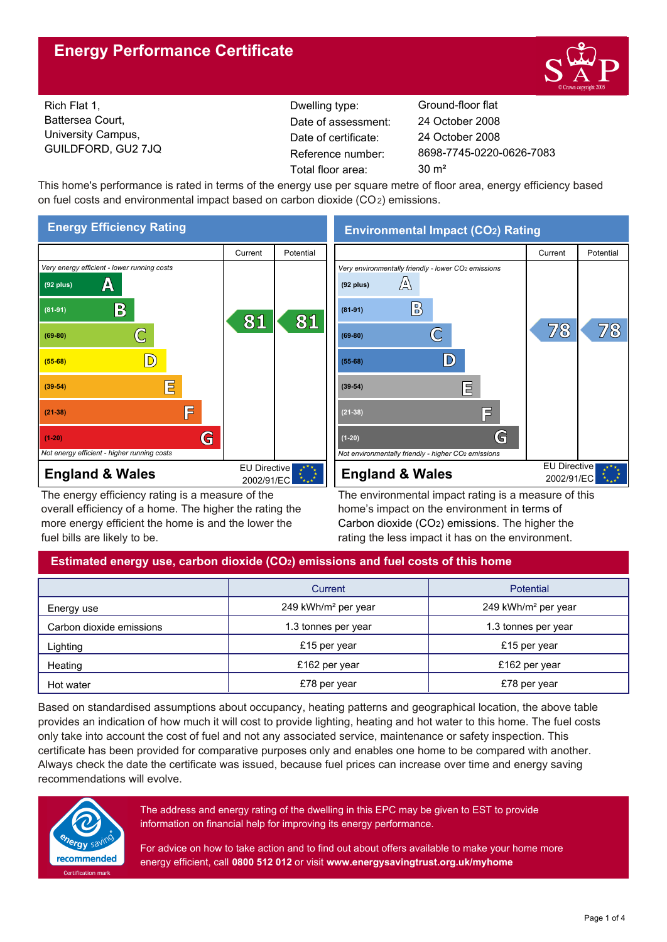## **Energy Performance Certificate**



 $78$ 

Rich Flat 1, Battersea Court, University Campus, GUILDFORD, GU2 7JQ

Dwelling type: Ground-floor flat Date of certificate: Total floor area: 30 m<sup>2</sup> Date of assessment:

8698-7745-0220-0626-7083 24 October 2008 24 October 2008

This home's performance is rated in terms of the energy use per square metre of floor area, energy efficiency based on fuel costs and environmental impact based on carbon dioxide (CO2) emissions.



The energy efficiency rating is a measure of the overall efficiency of a home. The higher the rating the more energy efficient the home is and the lower the fuel bills are likely to be.

The environmental impact rating is a measure of this home's impact on the environment in terms of Carbon dioxide (CO2) emissions. The higher the rating the less impact it has on the environment.

## **Estimated energy use, carbon dioxide (CO2) emissions and fuel costs of this home**

|                          | Current                         | <b>Potential</b>                |  |
|--------------------------|---------------------------------|---------------------------------|--|
| Energy use               | 249 kWh/m <sup>2</sup> per year | 249 kWh/m <sup>2</sup> per year |  |
| Carbon dioxide emissions | 1.3 tonnes per year             | 1.3 tonnes per year             |  |
| Lighting                 | £15 per year                    | £15 per year                    |  |
| Heating                  | £162 per year                   | £162 per year                   |  |
| Hot water                | £78 per year                    | £78 per year                    |  |

Based on standardised assumptions about occupancy, heating patterns and geographical location, the above table provides an indication of how much it will cost to provide lighting, heating and hot water to this home. The fuel costs only take into account the cost of fuel and not any associated service, maintenance or safety inspection. This certificate has been provided for comparative purposes only and enables one home to be compared with another. Always check the date the certificate was issued, because fuel prices can increase over time and energy saving recommendations will evolve.



The address and energy rating of the dwelling in this EPC may be given to EST to provide information on financial help for improving its energy performance.

For advice on how to take action and to find out about offers available to make your home more energy efficient, call **0800 512 012** or visit **www.energysavingtrust.org.uk/myhome**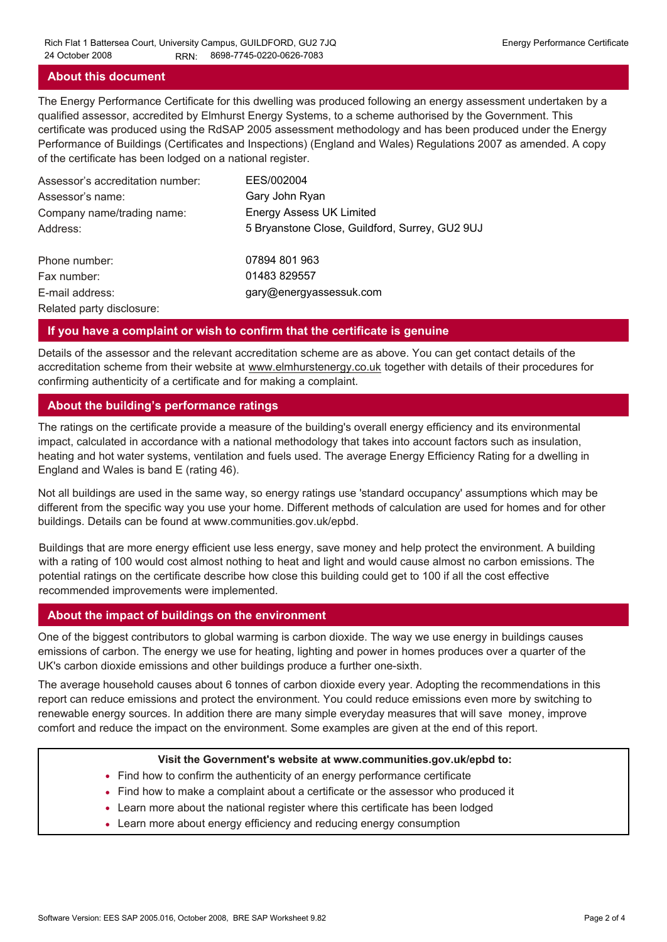#### **About this document**

The Energy Performance Certificate for this dwelling was produced following an energy assessment undertaken by a qualified assessor, accredited by Elmhurst Energy Systems, to a scheme authorised by the Government. This certificate was produced using the RdSAP 2005 assessment methodology and has been produced under the Energy Performance of Buildings (Certificates and Inspections) (England and Wales) Regulations 2007 as amended. A copy of the certificate has been lodged on a national register.

| Assessor's accreditation number: | EES/002004                                     |
|----------------------------------|------------------------------------------------|
| Assessor's name:                 | Gary John Ryan                                 |
| Company name/trading name:       | <b>Energy Assess UK Limited</b>                |
| Address:                         | 5 Bryanstone Close, Guildford, Surrey, GU2 9UJ |
| Phone number:                    | 07894 801 963                                  |
| Fax number:                      | 01483 829557                                   |
| E-mail address:                  | gary@energyassessuk.com                        |
| Related party disclosure:        |                                                |

#### **If you have a complaint or wish to confirm that the certificate is genuine**

Details of the assessor and the relevant accreditation scheme are as above. You can get contact details of the accreditation scheme from their website at www.elmhurstenergy.co.uk together with details of their procedures for confirming authenticity of a certificate and for making a complaint.

#### **About the building's performance ratings**

The ratings on the certificate provide a measure of the building's overall energy efficiency and its environmental impact, calculated in accordance with a national methodology that takes into account factors such as insulation, heating and hot water systems, ventilation and fuels used. The average Energy Efficiency Rating for a dwelling in England and Wales is band E (rating 46).

Not all buildings are used in the same way, so energy ratings use 'standard occupancy' assumptions which may be different from the specific way you use your home. Different methods of calculation are used for homes and for other buildings. Details can be found at www.communities.gov.uk/epbd.

Buildings that are more energy efficient use less energy, save money and help protect the environment. A building with a rating of 100 would cost almost nothing to heat and light and would cause almost no carbon emissions. The potential ratings on the certificate describe how close this building could get to 100 if all the cost effective recommended improvements were implemented.

#### **About the impact of buildings on the environment**

One of the biggest contributors to global warming is carbon dioxide. The way we use energy in buildings causes emissions of carbon. The energy we use for heating, lighting and power in homes produces over a quarter of the UK's carbon dioxide emissions and other buildings produce a further one-sixth.

The average household causes about 6 tonnes of carbon dioxide every year. Adopting the recommendations in this report can reduce emissions and protect the environment. You could reduce emissions even more by switching to renewable energy sources. In addition there are many simple everyday measures that will save money, improve comfort and reduce the impact on the environment. Some examples are given at the end of this report.

#### **Visit the Government's website at www.communities.gov.uk/epbd to:**

- Find how to confirm the authenticity of an energy performance certificate
- Find how to make a complaint about a certificate or the assessor who produced it •
- Learn more about the national register where this certificate has been lodged •
- Learn more about energy efficiency and reducing energy consumption •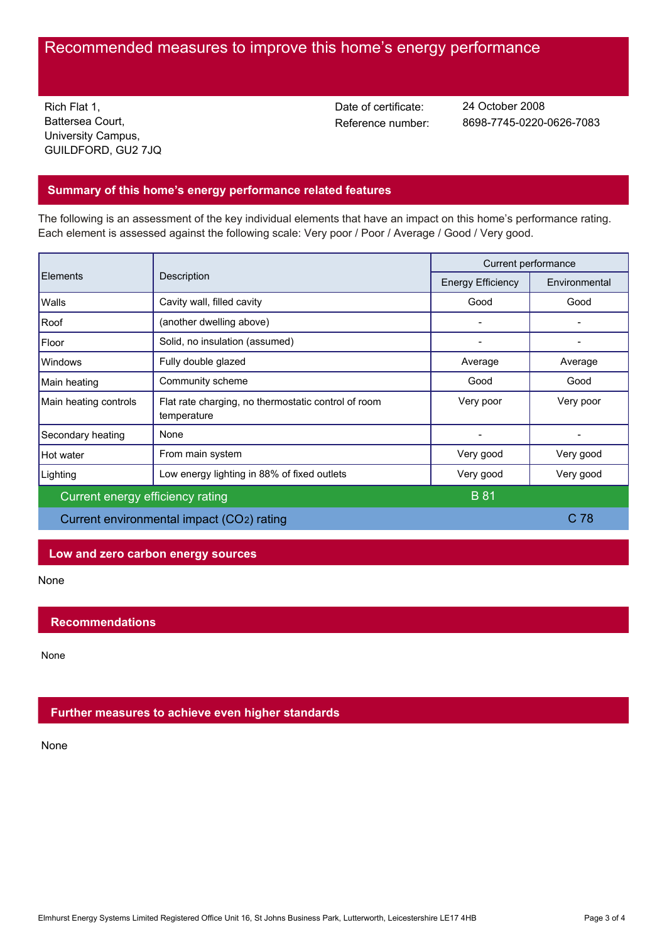# Recommended measures to improve this home's energy performance

Rich Flat 1, Battersea Court, University Campus, GUILDFORD, GU2 7JQ Date of certificate:

Reference number: 8698-7745-0220-0626-7083 24 October 2008

## **Summary of this home's energy performance related features**

The following is an assessment of the key individual elements that have an impact on this home's performance rating. Each element is assessed against the following scale: Very poor / Poor / Average / Good / Very good.

| <b>Elements</b>                           | Description                                                        | Current performance      |                 |
|-------------------------------------------|--------------------------------------------------------------------|--------------------------|-----------------|
|                                           |                                                                    | <b>Energy Efficiency</b> | Environmental   |
| Walls                                     | Cavity wall, filled cavity                                         | Good                     | Good            |
| Roof                                      | (another dwelling above)                                           |                          |                 |
| Floor                                     | Solid, no insulation (assumed)                                     |                          |                 |
| <b>Windows</b>                            | Fully double glazed                                                | Average                  | Average         |
| Main heating                              | Community scheme                                                   | Good                     | Good            |
| Main heating controls                     | Flat rate charging, no thermostatic control of room<br>temperature | Very poor                | Very poor       |
| Secondary heating                         | None                                                               |                          |                 |
| Hot water                                 | From main system                                                   | Very good                | Very good       |
| Lighting                                  | Low energy lighting in 88% of fixed outlets                        | Very good                | Very good       |
| Current energy efficiency rating          |                                                                    | <b>B</b> 81              |                 |
| Current environmental impact (CO2) rating |                                                                    |                          | C <sub>78</sub> |

## **Low and zero carbon energy sources**

None

## **Recommendations**

None

## **Further measures to achieve even higher standards**

None